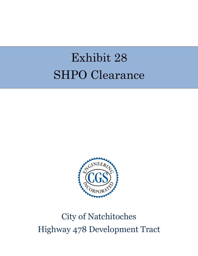# Exhibit 28 SHPO Clearance



## City of Natchitoches Highway 478 Development Tract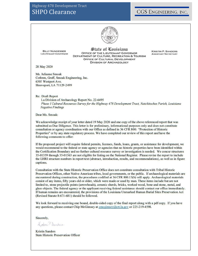#### Highway 478 Development Tract **SHPO Clearance**

#### CGS ENGINEERING, INC.



**BILLY NUNGESSER LIEUTENANT GOVERNOR** 

State of Conisiana OFFICE OF THE LIEUTENANT GOVERNOR **DEPARTMENT OF CULTURE, RECREATION & TOURISM** OFFICE OF CULTURAL DEVELOPMENT **DIVISION OF ARCHAEOLOGY** 

**KRISTIN P. SANDERS ASSISTANT SECRETARY** 

28 May 2020

Ms. Julianne Smoak Cothren, Graff, Smoak Engineering, Inc. 6305 Westport Ave. Shreveport, LA 71129-2499

#### **Re: Draft Report**

La Division of Archaeology Report No. 22-6495 Phase I Cultural Resources Survey for the Highway 478 Development Tract, Natchitoches Parish, Louisiana **Negative Findings** 

Dear Ms. Smoak:

We acknowledge receipt of your letter dated 19 May 2020 and one copy of the above referenced report that was submitted as Due Diligence. This letter is for preliminary, informational purposes only and does not constitute consultation or agency coordination with our Office as defined in 36 CFR 800: "Protection of Historic Properties" or by any state regulatory process. We have completed our review of this report and have the following comments to offer:

If the proposed project will require federal permits, licenses, funds, loans, grants, or assistance for development, we would recommend to the federal or state agency or agencies that no historic properties have been identified within the Certification Boundary and no further cultural resource survey or investigation is needed. We concur structures 35-01359 through 35-01363 are not eligible for listing on the National Register. Please revise the report to include the LHRI structure numbers in report text (abstract, introduction, results, and recommendations), as well as in figure captions.

Consultation with the State Historic Preservation Office does not constitute consultation with Tribal Historic Preservation Offices, other Native American tribes, local governments, or the public. If archaeological materials are encountered during construction, the procedures codified at 36 CFR 800.13(b) will apply. Archaeological materials consist of any items, fifty years old or older, which were made or used by man. These items include but are not limited to, stone projectile points (arrowheads), ceramic sherds, bricks, worked wood, bone and stone, metal, and glass objects. The federal agency or the applicant receiving federal assistance should contact our office immediately. If human remains are encountered, the provisions of the Louisiana Unmarked Human Burial Sites Preservation Act (Revised Statute 8:671-681) should be followed.

We look forward to receiving one bound, double-sided copy of the final report along with a pdf copy. If you have any questions, please contact Chip McGimsey at cmcgimsey@crt.la.gov or 225-219-4598.

Sincerely,

Laten P. Sanders

**Kristin Sanders State Historic Preservation Officer**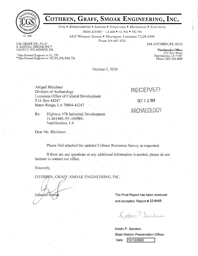

### COTHREN, GRAFF, SMOAK ENGINEERING, INC.

CIVIL • ENVIRONMENTAL • SANITARY • STRUCTURAL • MECHANICAL • ELECTRICAL

FIRM LICENSE - LA 2636 + AL 7531 + TX 1754

6305 Westport Avenue • Shreveport, Louisiana 71129-2499

Phone: 318-687-3732

S.M. COTHREN, P.E. (2018)

D.B. GRAFF, P.E., P.L.S.\*<br>K. RANDAL SMOAK, P.E.\*\*<br>DAVID C. WILKINSON, P.E.

 $\label{eq:abs} \begin{array}{ll} \text{*Also licensed Engineer in AL, TN} \\ \text{*Also licensed Engineer in AR, KS, MS, NM, TX} \end{array}$ 

Natchitoches Office: 112 Horn Street Natchitoches, LA 71457 Phone (318) 354-6888

October 5, 2020

Abigail Bleichner Division of Archaeology Louisiana Office of Cultural Development P.O. Box 44247 Baton Rouge, LA 70804-44247

Highway 478 Industrial Development Re: 31.661469, -93.1069841 Natchitoches, LA

Dear Ms. Bleichner:

Please find attached the updated Cultural Resources Survey as requested.

If there are any questions or any additional information is needed, please do not hesitate to contact our office.

Sincerely,

COTHREN, GRAFF, SMOAK ENGINEERING, INC.

Julianné Smóak

The Final Report has been reviewed and accepted. Report # 22-6495

RECEIVED

OCT 1 2 2020

ARCHAEOLOGY

Kritin P. Sanders

Kristin P. Sanders **State Historic Preservation Officer** Date 10/12/2020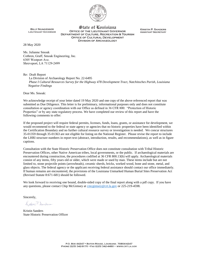

**BILLY NUNGESSER LIEUTENANT GOVERNOR** 

State of Louisiana **OFFICE OF THE LIEUTENANT GOVERNOR DEPARTMENT OF CULTURE, RECREATION & TOURISM OFFICE OF CULTURAL DEVELOPMENT DIVISION OF ARCHAEOLOGY** 

**KRISTIN P. SANDERS ASSISTANT SECRETARY** 

28 May 2020

Ms. Julianne Smoak Cothren, Graff, Smoak Engineering, Inc. 6305 Westport Ave. Shreveport, LA 71129-2499

Re: Draft Report

 La Division of Archaeology Report No. 22-6495 *Phase I Cultural Resources Survey for the Highway 478 Development Tract, Natchitoches Parish, Louisiana Negative Findings* 

Dear Ms. Smoak:

We acknowledge receipt of your letter dated 19 May 2020 and one copy of the above referenced report that was submitted as Due Diligence. This letter is for preliminary, informational purposes only and does not constitute consultation or agency coordination with our Office as defined in 36 CFR 800: "Protection of Historic Properties" or by any state regulatory process. We have completed our review of this report and have the following comments to offer:

If the proposed project will require federal permits, licenses, funds, loans, grants, or assistance for development, we would recommend to the federal or state agency or agencies that no historic properties have been identified within the Certification Boundary and no further cultural resource survey or investigation is needed. We concur structures 35-01359 through 35-01363 are not eligible for listing on the National Register. Please revise the report to include the LHRI structure numbers in report text (abstract, introduction, results, and recommendations), as well as in figure captions.

Consultation with the State Historic Preservation Office does not constitute consultation with Tribal Historic Preservation Offices, other Native American tribes, local governments, or the public. If archaeological materials are encountered during construction, the procedures codified at 36 CFR 800.13(b) will apply. Archaeological materials consist of any items, fifty years old or older, which were made or used by man. These items include but are not limited to, stone projectile points (arrowheads), ceramic sherds, bricks, worked wood, bone and stone, metal, and glass objects. The federal agency or the applicant receiving federal assistance should contact our office immediately. If human remains are encountered, the provisions of the Louisiana Unmarked Human Burial Sites Preservation Act (Revised Statute 8:671-681) should be followed.

We look forward to receiving one bound, double-sided copy of the final report along with a pdf copy. If you have any questions, please contact Chip McGimsey at [cmcgimsey@crt.la.gov](mailto:cmcgimsey@crt.la.gov) or 225-219-4598.

Sincerely,

Koton P. Sanders

Kristin Sanders State Historic Preservation Officer